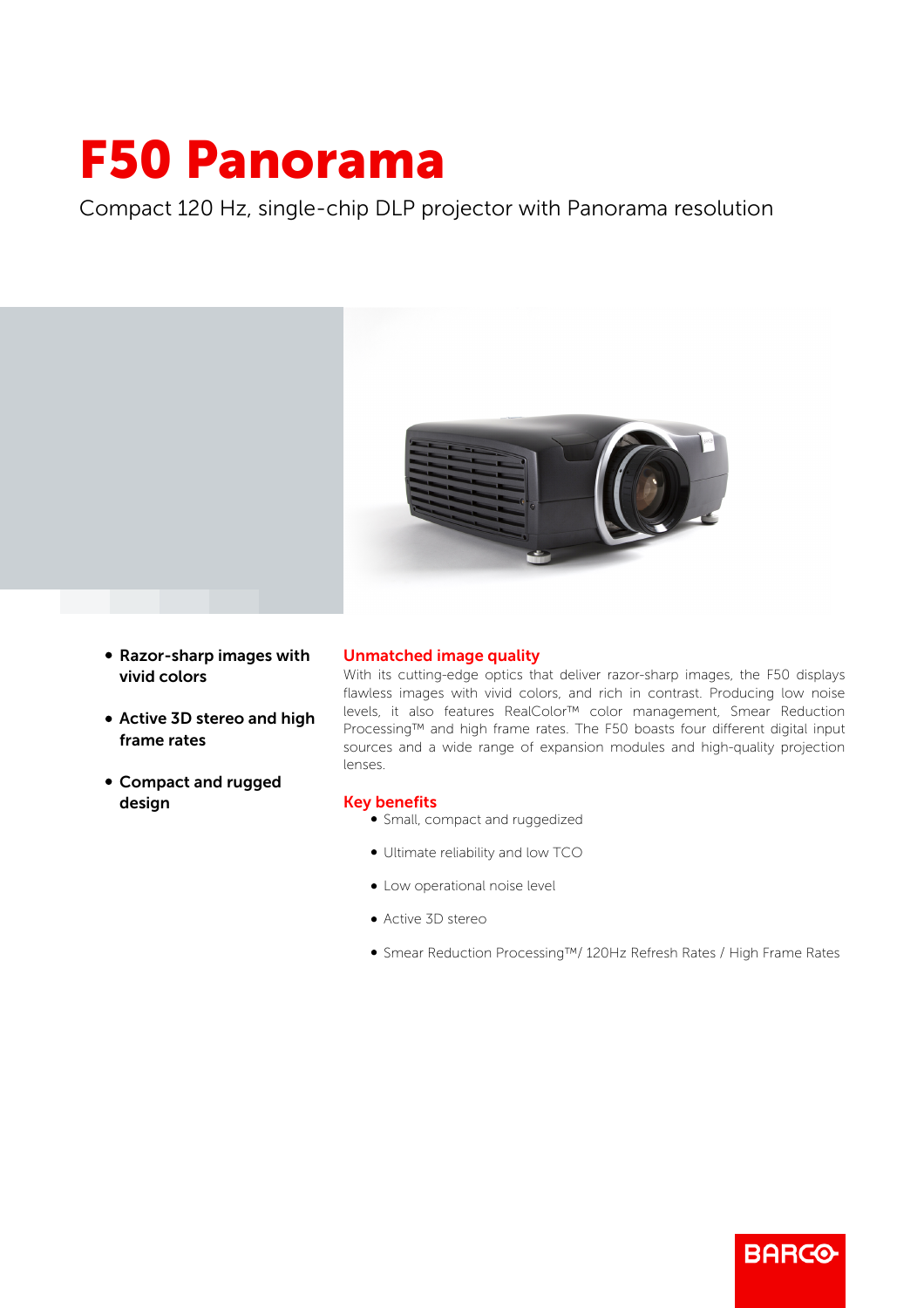## F50 Panorama

Compact 120 Hz, single-chip DLP projector with Panorama resolution



- Razor-sharp images with vivid colors
- Active 3D stereo and high frame rates
- b Compact and rugged design

## Unmatched image quality

With its cutting-edge optics that deliver razor-sharp images, the F50 displays flawless images with vivid colors, and rich in contrast. Producing low noise levels, it also features RealColor™ color management, Smear Reduction Processing™ and high frame rates. The F50 boasts four different digital input sources and a wide range of expansion modules and high-quality projection lenses.

## Key benefits

- Small, compact and ruggedized
- Ultimate reliability and low TCO
- Low operational noise level
- Active 3D stereo
- b Smear Reduction Processing™/ 120Hz Refresh Rates / High Frame Rates

**BARCO**